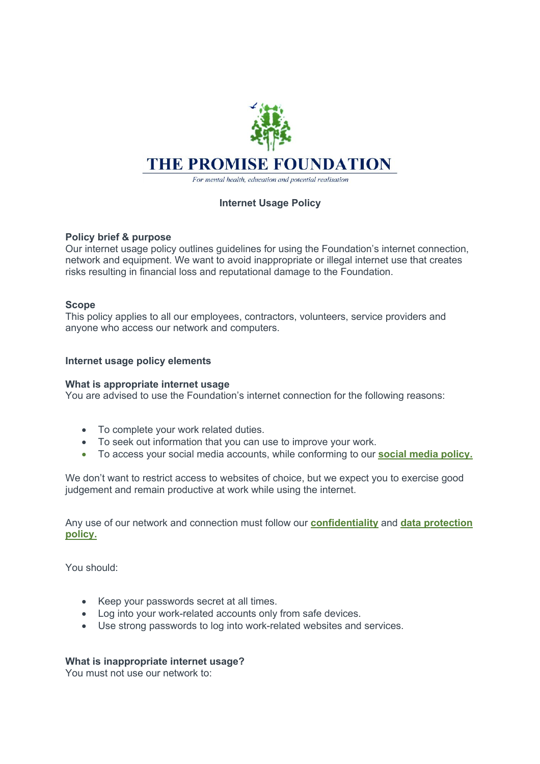

For mental health, education and potential realisation

# **Internet Usage Policy**

## **Policy brief & purpose**

Our internet usage policy outlines guidelines for using the Foundation's internet connection, network and equipment. We want to avoid inappropriate or illegal internet use that creates risks resulting in financial loss and reputational damage to the Foundation.

## **Scope**

This policy applies to all our employees, contractors, volunteers, service providers and anyone who access our network and computers.

## **Internet usage policy elements**

## **What is appropriate internet usage**

You are advised to use the Foundation's internet connection for the following reasons:

- To complete your work related duties.
- To seek out information that you can use to improve your work.
- To access your social media accounts, while conforming to our **social media policy.**

We don't want to restrict access to websites of choice, but we expect you to exercise good judgement and remain productive at work while using the internet.

Any use of our network and connection must follow our **confidentiality** and **data protection policy.**

You should:

- Keep your passwords secret at all times.
- Log into your work-related accounts only from safe devices.
- Use strong passwords to log into work-related websites and services.

# **What is inappropriate internet usage?**

You must not use our network to: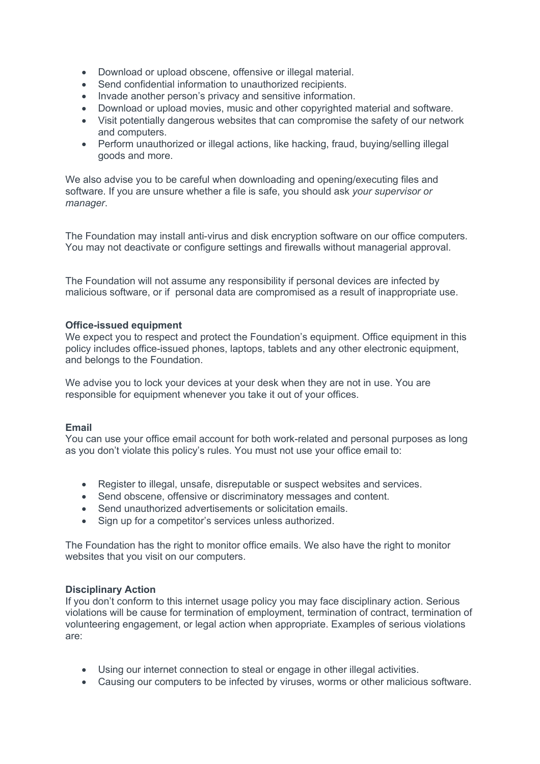- Download or upload obscene, offensive or illegal material.
- Send confidential information to unauthorized recipients.
- Invade another person's privacy and sensitive information.
- Download or upload movies, music and other copyrighted material and software.
- Visit potentially dangerous websites that can compromise the safety of our network and computers.
- Perform unauthorized or illegal actions, like hacking, fraud, buying/selling illegal goods and more.

We also advise you to be careful when downloading and opening/executing files and software. If you are unsure whether a file is safe, you should ask *your supervisor or manager*.

The Foundation may install anti-virus and disk encryption software on our office computers. You may not deactivate or configure settings and firewalls without managerial approval.

The Foundation will not assume any responsibility if personal devices are infected by malicious software, or if personal data are compromised as a result of inappropriate use.

#### **Office-issued equipment**

We expect you to respect and protect the Foundation's equipment. Office equipment in this policy includes office-issued phones, laptops, tablets and any other electronic equipment, and belongs to the Foundation.

We advise you to lock your devices at your desk when they are not in use. You are responsible for equipment whenever you take it out of your offices.

#### **Email**

You can use your office email account for both work-related and personal purposes as long as you don't violate this policy's rules. You must not use your office email to:

- Register to illegal, unsafe, disreputable or suspect websites and services.
- Send obscene, offensive or discriminatory messages and content.
- Send unauthorized advertisements or solicitation emails.
- Sign up for a competitor's services unless authorized.

The Foundation has the right to monitor office emails. We also have the right to monitor websites that you visit on our computers.

#### **Disciplinary Action**

If you don't conform to this internet usage policy you may face disciplinary action. Serious violations will be cause for termination of employment, termination of contract, termination of volunteering engagement, or legal action when appropriate. Examples of serious violations are:

- Using our internet connection to steal or engage in other illegal activities.
- Causing our computers to be infected by viruses, worms or other malicious software.